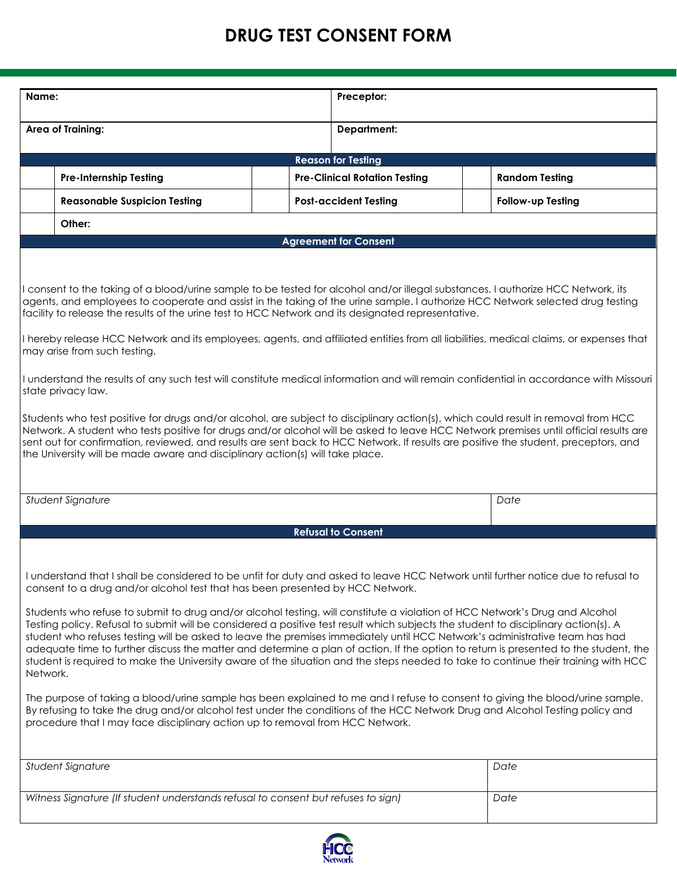## **DRUG TEST CONSENT FORM**

| Name:                                                                                                                                                                                                                                                                                                                                                                                                                                                                                                                                                                                                                                                                                                                                                                                                                                                                                                                                                                                                                                                                                                                                                                                                                                                                |                                                                                   |  |                                      | Preceptor:                   |                       |                   |  |  |  |  |
|----------------------------------------------------------------------------------------------------------------------------------------------------------------------------------------------------------------------------------------------------------------------------------------------------------------------------------------------------------------------------------------------------------------------------------------------------------------------------------------------------------------------------------------------------------------------------------------------------------------------------------------------------------------------------------------------------------------------------------------------------------------------------------------------------------------------------------------------------------------------------------------------------------------------------------------------------------------------------------------------------------------------------------------------------------------------------------------------------------------------------------------------------------------------------------------------------------------------------------------------------------------------|-----------------------------------------------------------------------------------|--|--------------------------------------|------------------------------|-----------------------|-------------------|--|--|--|--|
|                                                                                                                                                                                                                                                                                                                                                                                                                                                                                                                                                                                                                                                                                                                                                                                                                                                                                                                                                                                                                                                                                                                                                                                                                                                                      |                                                                                   |  |                                      |                              |                       |                   |  |  |  |  |
| Area of Training:                                                                                                                                                                                                                                                                                                                                                                                                                                                                                                                                                                                                                                                                                                                                                                                                                                                                                                                                                                                                                                                                                                                                                                                                                                                    |                                                                                   |  |                                      | <b>Department:</b>           |                       |                   |  |  |  |  |
| <b>Reason for Testing</b>                                                                                                                                                                                                                                                                                                                                                                                                                                                                                                                                                                                                                                                                                                                                                                                                                                                                                                                                                                                                                                                                                                                                                                                                                                            |                                                                                   |  |                                      |                              |                       |                   |  |  |  |  |
|                                                                                                                                                                                                                                                                                                                                                                                                                                                                                                                                                                                                                                                                                                                                                                                                                                                                                                                                                                                                                                                                                                                                                                                                                                                                      | <b>Pre-Internship Testing</b>                                                     |  | <b>Pre-Clinical Rotation Testing</b> |                              | <b>Random Testing</b> |                   |  |  |  |  |
|                                                                                                                                                                                                                                                                                                                                                                                                                                                                                                                                                                                                                                                                                                                                                                                                                                                                                                                                                                                                                                                                                                                                                                                                                                                                      | <b>Reasonable Suspicion Testing</b>                                               |  |                                      | <b>Post-accident Testing</b> |                       | Follow-up Testing |  |  |  |  |
|                                                                                                                                                                                                                                                                                                                                                                                                                                                                                                                                                                                                                                                                                                                                                                                                                                                                                                                                                                                                                                                                                                                                                                                                                                                                      | Other:                                                                            |  |                                      |                              |                       |                   |  |  |  |  |
| <b>Agreement for Consent</b>                                                                                                                                                                                                                                                                                                                                                                                                                                                                                                                                                                                                                                                                                                                                                                                                                                                                                                                                                                                                                                                                                                                                                                                                                                         |                                                                                   |  |                                      |                              |                       |                   |  |  |  |  |
| I consent to the taking of a blood/urine sample to be tested for alcohol and/or illegal substances. I authorize HCC Network, its<br>agents, and employees to cooperate and assist in the taking of the urine sample. I authorize HCC Network selected drug testing<br>facility to release the results of the urine test to HCC Network and its designated representative.<br>I hereby release HCC Network and its employees, agents, and affiliated entities from all liabilities, medical claims, or expenses that<br>may arise from such testing.<br>I understand the results of any such test will constitute medical information and will remain confidential in accordance with Missouri<br>state privacy law.<br>Students who test positive for drugs and/or alcohol, are subject to disciplinary action(s), which could result in removal from HCC<br>Network. A student who tests positive for drugs and/or alcohol will be asked to leave HCC Network premises until official results are<br>sent out for confirmation, reviewed, and results are sent back to HCC Network. If results are positive the student, preceptors, and<br>the University will be made aware and disciplinary action(s) will take place.                                           |                                                                                   |  |                                      |                              |                       |                   |  |  |  |  |
|                                                                                                                                                                                                                                                                                                                                                                                                                                                                                                                                                                                                                                                                                                                                                                                                                                                                                                                                                                                                                                                                                                                                                                                                                                                                      | Student Signature                                                                 |  |                                      |                              | Date                  |                   |  |  |  |  |
|                                                                                                                                                                                                                                                                                                                                                                                                                                                                                                                                                                                                                                                                                                                                                                                                                                                                                                                                                                                                                                                                                                                                                                                                                                                                      |                                                                                   |  |                                      | <b>Refusal to Consent</b>    |                       |                   |  |  |  |  |
| I understand that I shall be considered to be unfit for duty and asked to leave HCC Network until further notice due to refusal to<br>consent to a drug and/or alcohol test that has been presented by HCC Network.<br>Students who refuse to submit to drug and/or alcohol testing, will constitute a violation of HCC Network's Drug and Alcohol<br>Testing policy. Refusal to submit will be considered a positive test result which subjects the student to disciplinary action(s). A<br>student who refuses testing will be asked to leave the premises immediately until HCC Network's administrative team has had<br>adequate time to further discuss the matter and determine a plan of action. If the option to return is presented to the student, the<br>student is required to make the University aware of the situation and the steps needed to take to continue their training with HCC<br>Network.<br>The purpose of taking a blood/urine sample has been explained to me and I refuse to consent to giving the blood/urine sample.<br>By refusing to take the drug and/or alcohol test under the conditions of the HCC Network Drug and Alcohol Testing policy and<br>procedure that I may face disciplinary action up to removal from HCC Network. |                                                                                   |  |                                      |                              |                       |                   |  |  |  |  |
|                                                                                                                                                                                                                                                                                                                                                                                                                                                                                                                                                                                                                                                                                                                                                                                                                                                                                                                                                                                                                                                                                                                                                                                                                                                                      | Student Signature                                                                 |  |                                      |                              |                       | Date              |  |  |  |  |
|                                                                                                                                                                                                                                                                                                                                                                                                                                                                                                                                                                                                                                                                                                                                                                                                                                                                                                                                                                                                                                                                                                                                                                                                                                                                      | Witness Signature (If student understands refusal to consent but refuses to sign) |  |                                      |                              | Date                  |                   |  |  |  |  |